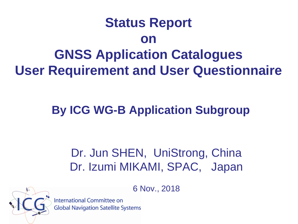### **Status Report**

#### **on**

**GNSS Application Catalogues User Requirement and User Questionnaire**

### **By ICG WG-B Application Subgroup**

#### Dr. Jun SHEN, UniStrong, China Dr. Izumi MIKAMI, SPAC, Japan

6 Nov., 2018



**International Committee on Global Navigation Satellite Systems**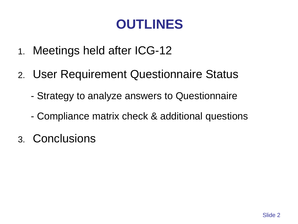## **OUTLINES**

- 1. Meetings held after ICG-12
- 2. User Requirement Questionnaire Status
	- Strategy to analyze answers to Questionnaire
	- Compliance matrix check & additional questions
- 3. Conclusions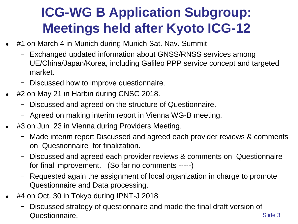## **ICG-WG B Application Subgroup: Meetings held after Kyoto ICG-12**

- #1 on March 4 in Munich during Munich Sat. Nav. Summit
	- − Exchanged updated information about GNSS/RNSS services among UE/China/Japan/Korea, including Galileo PPP service concept and targeted market.
	- − Discussed how to improve questionnaire.
- #2 on May 21 in Harbin during CNSC 2018.
	- − Discussed and agreed on the structure of Questionnaire.
	- − Agreed on making interim report in Vienna WG-B meeting.
- #3 on Jun 23 in Vienna during Providers Meeting.
	- − Made interim report Discussed and agreed each provider reviews & comments on Questionnaire for finalization.
	- − Discussed and agreed each provider reviews & comments on Questionnaire for final improvement. (So far no comments -----)
	- − Requested again the assignment of local organization in charge to promote Questionnaire and Data processing.
- $#4$  on Oct. 30 in Tokyo during IPNT-J 2018
	- Slide 3 − Discussed strategy of questionnaire and made the final draft version of Questionnaire.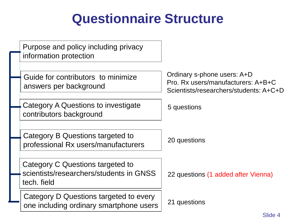### **Questionnaire Structure**

| Purpose and policy including privacy                                        |                                                                              |
|-----------------------------------------------------------------------------|------------------------------------------------------------------------------|
| information protection                                                      |                                                                              |
|                                                                             | Ordinary s-phone users: A+D                                                  |
| Guide for contributors to minimize<br>answers per background                | Pro. Rx users/manufacturers: A+B+C<br>Scientists/researchers/students: A+C+D |
| <b>Category A Questions to investigate</b>                                  | 5 questions                                                                  |
| contributors background                                                     |                                                                              |
|                                                                             |                                                                              |
| Category B Questions targeted to<br>professional Rx users/manufacturers     | 20 questions                                                                 |
|                                                                             |                                                                              |
| Category C Questions targeted to<br>scientists/researchers/students in GNSS |                                                                              |
| tech. field                                                                 | 22 questions (1 added after Vienna)                                          |
| Category D Questions targeted to every                                      | 21 questions                                                                 |
| one including ordinary smartphone users                                     |                                                                              |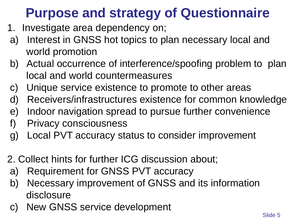## **Purpose and strategy of Questionnaire**

- 1. Investigate area dependency on;
- a) Interest in GNSS hot topics to plan necessary local and world promotion
- b) Actual occurrence of interference/spoofing problem to plan local and world countermeasures
- c) Unique service existence to promote to other areas
- d) Receivers/infrastructures existence for common knowledge
- e) Indoor navigation spread to pursue further convenience
- f) Privacy consciousness
- g) Local PVT accuracy status to consider improvement
- 2. Collect hints for further ICG discussion about;
- a) Requirement for GNSS PVT accuracy
- b) Necessary improvement of GNSS and its information disclosure
- c) New GNSS service development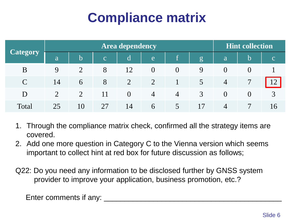# **Compliance matrix**

|               | <b>Area dependency</b> |                |    |          |                |                | <b>Hint collection</b> |                |              |                |
|---------------|------------------------|----------------|----|----------|----------------|----------------|------------------------|----------------|--------------|----------------|
| Category      | a                      | b              | C  | d        | e              |                | g                      | a              | b.           | $\overline{c}$ |
| B             | $\mathbf Q$            |                | 8  | 12       | $\Omega$       | $\Omega$       | $\mathbf Q$            | $\Omega$       | $\mathbf{U}$ |                |
| $\mathcal{C}$ | 14                     | 6              | 8  |          | $\overline{2}$ |                |                        | $\overline{4}$ | $\tau$       |                |
| D             | $\mathcal{D}$          | $\overline{2}$ | 11 | $\theta$ | $\overline{4}$ | $\overline{4}$ | 3                      |                | $\Omega$     | 3              |
| Total         | 25                     | 10             | 27 | 14       | 6              | 5              | 17                     | $\overline{4}$ |              | 16             |

- 1. Through the compliance matrix check, confirmed all the strategy items are covered.
- 2. Add one more question in Category C to the Vienna version which seems important to collect hint at red box for future discussion as follows;
- Q22: Do you need any information to be disclosed further by GNSS system provider to improve your application, business promotion, etc.?

Enter comments if any: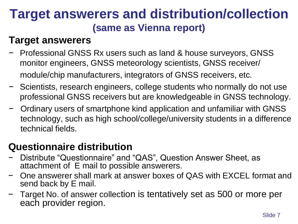### **Target answerers and distribution/collection (same as Vienna report)**

#### **Target answerers**

- − Professional GNSS Rx users such as land & house surveyors, GNSS monitor engineers, GNSS meteorology scientists, GNSS receiver/ module/chip manufacturers, integrators of GNSS receivers, etc.
- − Scientists, research engineers, college students who normally do not use professional GNSS receivers but are knowledgeable in GNSS technology.
- − Ordinary users of smartphone kind application and unfamiliar with GNSS technology, such as high school/college/university students in a difference technical fields.

#### **Questionnaire distribution**

- − Distribute "Questionnaire" and "QAS", Question Answer Sheet, as attachment of E mail to possible answerers.
- − One answerer shall mark at answer boxes of QAS with EXCEL format and send back by E mail.
- Target No. of answer collection is tentatively set as 500 or more per each provider region.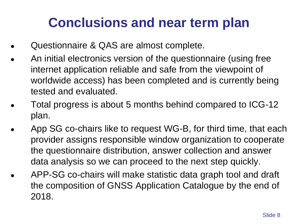## **Conclusions and near term plan**

- Questionnaire & QAS are almost complete.
- An initial electronics version of the questionnaire (using free internet application reliable and safe from the viewpoint of worldwide access) has been completed and is currently being tested and evaluated.
- Total progress is about 5 months behind compared to ICG-12 plan.
- App SG co-chairs like to request WG-B, for third time, that each provider assigns responsible window organization to cooperate the questionnaire distribution, answer collection and answer data analysis so we can proceed to the next step quickly.
- APP-SG co-chairs will make statistic data graph tool and draft the composition of GNSS Application Catalogue by the end of 2018.